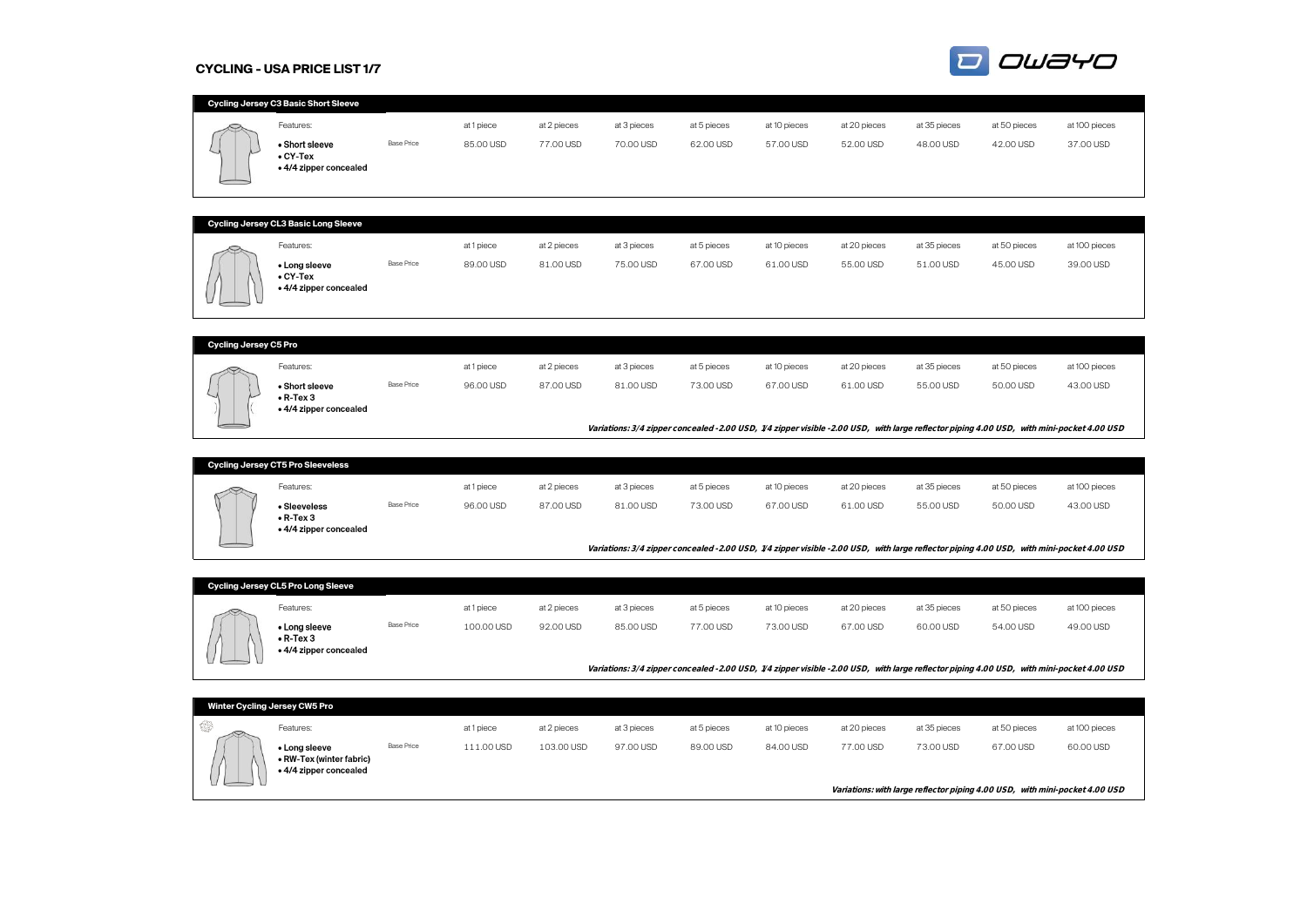#### **CYCLING - USA PRICE LIST 1/7**



|                              | Cycling Jersey C3 Basic Short Sleeve        |                   |            |             |             |             |              |              |              |                                                                                                                                           |               |
|------------------------------|---------------------------------------------|-------------------|------------|-------------|-------------|-------------|--------------|--------------|--------------|-------------------------------------------------------------------------------------------------------------------------------------------|---------------|
|                              | Features:                                   |                   | at 1 piece | at 2 pieces | at 3 pieces | at 5 pieces | at 10 pieces | at 20 pieces | at 35 pieces | at 50 pieces                                                                                                                              | at 100 pieces |
|                              | · Short sleeve                              | <b>Base Price</b> | 85.00 USD  | 77.00 USD   | 70.00 USD   | 62.00 USD   | 57.00 USD    | 52.00 USD    | 48.00 USD    | 42.00 USD                                                                                                                                 | 37.00 USD     |
|                              | $\bullet$ CY-Tex                            |                   |            |             |             |             |              |              |              |                                                                                                                                           |               |
|                              | . 4/4 zipper concealed                      |                   |            |             |             |             |              |              |              |                                                                                                                                           |               |
|                              |                                             |                   |            |             |             |             |              |              |              |                                                                                                                                           |               |
|                              |                                             |                   |            |             |             |             |              |              |              |                                                                                                                                           |               |
|                              | Cycling Jersey CL3 Basic Long Sleeve        |                   |            |             |             |             |              |              |              |                                                                                                                                           |               |
|                              | Features:                                   |                   | at 1 piece | at 2 pieces | at 3 pieces | at 5 pieces | at 10 pieces | at 20 pieces | at 35 pieces | at 50 pieces                                                                                                                              | at 100 pieces |
|                              | • Long sleeve<br>$\bullet$ CY-Tex           | <b>Base Price</b> | 89.00 USD  | 81.00 USD   | 75.00 USD   | 67.00 USD   | 61.00 USD    | 55.00 USD    | 51.00 USD    | 45.00 USD                                                                                                                                 | 39.00 USD     |
|                              | • 4/4 zipper concealed                      |                   |            |             |             |             |              |              |              |                                                                                                                                           |               |
|                              |                                             |                   |            |             |             |             |              |              |              |                                                                                                                                           |               |
|                              |                                             |                   |            |             |             |             |              |              |              |                                                                                                                                           |               |
| <b>Cycling Jersey C5 Pro</b> |                                             |                   |            |             |             |             |              |              |              |                                                                                                                                           |               |
|                              | Features:                                   |                   | at 1 piece | at 2 pieces | at 3 pieces | at 5 pieces | at 10 pieces | at 20 pieces | at 35 pieces | at 50 pieces                                                                                                                              | at 100 pieces |
|                              | • Short sleeve                              | <b>Base Price</b> | 96.00 USD  | 87.00 USD   | 81.00 USD   | 73.00 USD   | 67.00 USD    | 61.00 USD    | 55.00 USD    | 50.00 USD                                                                                                                                 | 43.00 USD     |
|                              | $\bullet$ R-Tex 3<br>. 4/4 zipper concealed |                   |            |             |             |             |              |              |              |                                                                                                                                           |               |
|                              |                                             |                   |            |             |             |             |              |              |              |                                                                                                                                           |               |
|                              |                                             |                   |            |             |             |             |              |              |              | Variations: 3/4 zipper concealed -2.00 USD, 1/4 zipper visible -2.00 USD, with large reflector piping 4.00 USD, with mini-pocket 4.00 USD |               |
|                              | <b>Cycling Jersey CT5 Pro Sleeveless</b>    |                   |            |             |             |             |              |              |              |                                                                                                                                           |               |
|                              |                                             |                   |            |             |             |             |              |              |              |                                                                                                                                           |               |
|                              | Features:                                   | <b>Base Price</b> | at 1 piece | at 2 pieces | at 3 pieces | at 5 pieces | at 10 pieces | at 20 pieces | at 35 pieces | at 50 pieces                                                                                                                              | at 100 pieces |
|                              | • Sleeveless<br>$\bullet$ R-Tex 3           |                   | 96.00 USD  | 87.00 USD   | 81.00 USD   | 73.00 USD   | 67.00 USD    | 61.00 USD    | 55.00 USD    | 50.00 USD                                                                                                                                 | 43.00 USD     |
|                              | • 4/4 zipper concealed                      |                   |            |             |             |             |              |              |              |                                                                                                                                           |               |
|                              |                                             |                   |            |             |             |             |              |              |              | Variations: 3/4 zipper concealed -2.00 USD, 1/4 zipper visible -2.00 USD, with large reflector piping 4.00 USD, with mini-pocket 4.00 USD |               |
|                              |                                             |                   |            |             |             |             |              |              |              |                                                                                                                                           |               |
|                              | Cycling Jersey CL5 Pro Long Sleeve          |                   |            |             |             |             |              |              |              |                                                                                                                                           |               |
|                              | Features:                                   |                   |            |             |             |             |              |              |              |                                                                                                                                           |               |
|                              |                                             |                   | at 1 piece | at 2 pieces | at 3 pieces | at 5 pieces | at 10 pieces | at 20 pieces | at 35 pieces | at 50 pieces                                                                                                                              | at 100 pieces |
|                              | • Long sleeve                               | <b>Base Price</b> | 100.00 USD | 92.00 USD   | 85.00 USD   | 77.00 USD   | 73.00 USD    | 67.00 USD    | 60.00 USD    | 54.00 USD                                                                                                                                 | 49.00 USD     |
|                              | $\bullet$ R-Tex 3<br>. 4/4 zipper concealed |                   |            |             |             |             |              |              |              |                                                                                                                                           |               |
|                              |                                             |                   |            |             |             |             |              |              |              |                                                                                                                                           |               |
|                              |                                             |                   |            |             |             |             |              |              |              | Variations: 3/4 zipper concealed -2.00 USD, 1/4 zipper visible -2.00 USD, with large reflector piping 4.00 USD, with mini-pocket 4.00 USD |               |
|                              | Winter Cycling Jersey CW5 Pro               |                   |            |             |             |             |              |              |              |                                                                                                                                           |               |
|                              |                                             |                   |            |             |             |             |              |              |              |                                                                                                                                           |               |
| 63                           | Features:                                   | <b>Base Price</b> | at 1 piece | at 2 pieces | at 3 pieces | at 5 pieces | at 10 pieces | at 20 pieces | at 35 pieces | at 50 pieces                                                                                                                              | at 100 pieces |
|                              | • Long sleeve<br>• RW-Tex (winter fabric)   |                   | 111.00 USD | 103.00 USD  | 97.00 USD   | 89.00 USD   | 84.00 USD    | 77.00 USD    | 73.00 USD    | 67.00 USD                                                                                                                                 | 60.00 USD     |
|                              | . 4/4 zipper concealed                      |                   |            |             |             |             |              |              |              |                                                                                                                                           |               |
|                              |                                             |                   |            |             |             |             |              |              |              | Variations: with large reflector piping 4.00 USD, with mini-pocket 4.00 USD                                                               |               |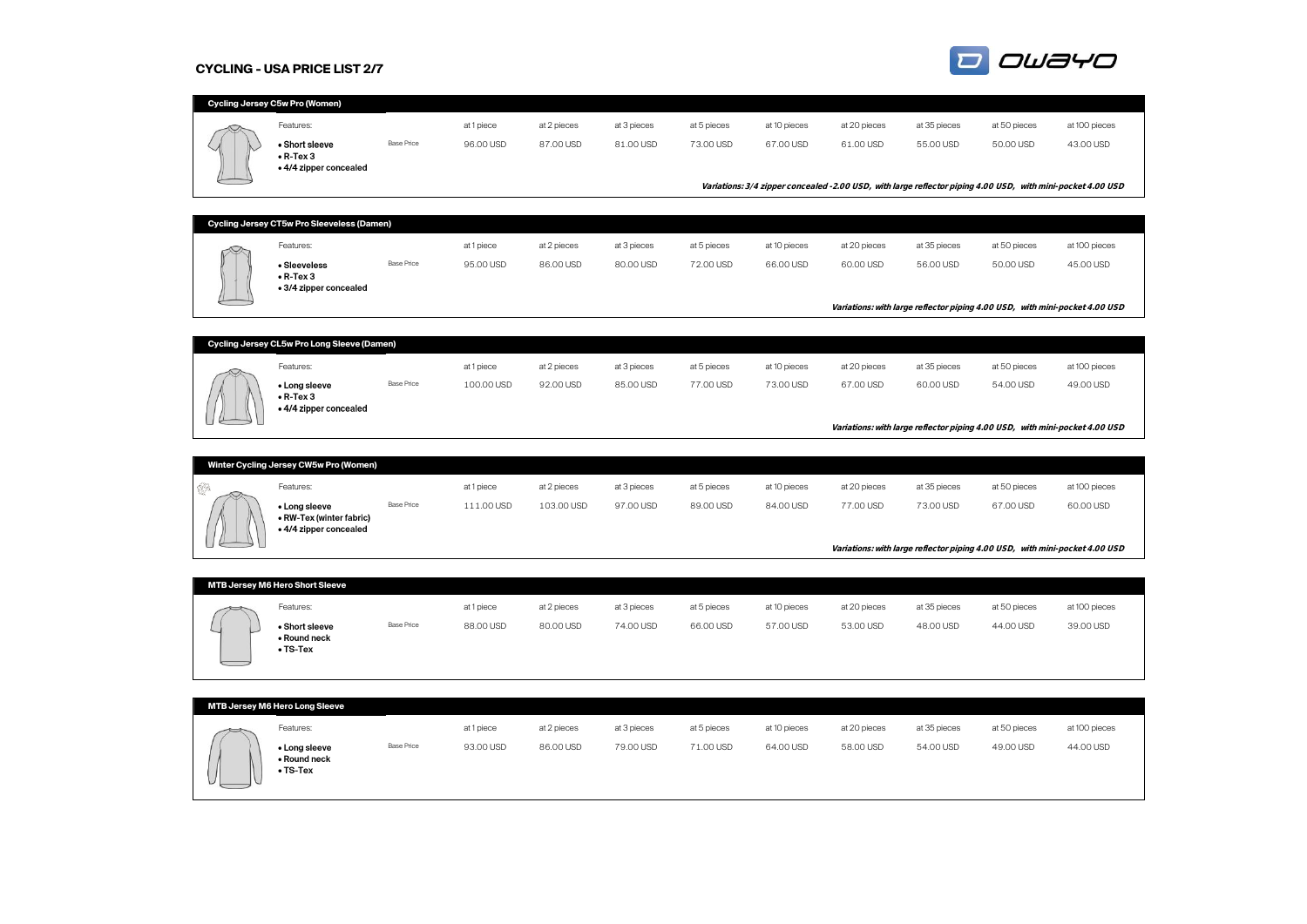### **CYCLING - USA PRICE LIST 2/7**



|     | Cycling Jersey C5w Pro (Women)                     |                   |            |             |             |             |              |              |              |                                                                                                             |               |  |
|-----|----------------------------------------------------|-------------------|------------|-------------|-------------|-------------|--------------|--------------|--------------|-------------------------------------------------------------------------------------------------------------|---------------|--|
|     | Features:                                          |                   | at 1 piece | at 2 pieces | at 3 pieces | at 5 pieces | at 10 pieces | at 20 pieces | at 35 pieces | at 50 pieces                                                                                                | at 100 pieces |  |
|     | • Short sleeve                                     | <b>Base Price</b> | 96.00 USD  | 87.00 USD   | 81.00 USD   | 73.00 USD   | 67.00 USD    | 61.00 USD    | 55.00 USD    | 50.00 USD                                                                                                   | 43.00 USD     |  |
|     | $\bullet$ R-Tex 3                                  |                   |            |             |             |             |              |              |              |                                                                                                             |               |  |
|     | . 4/4 zipper concealed                             |                   |            |             |             |             |              |              |              |                                                                                                             |               |  |
|     |                                                    |                   |            |             |             |             |              |              |              | Variations: 3/4 zipper concealed -2.00 USD, with large reflector piping 4.00 USD, with mini-pocket 4.00 USD |               |  |
|     |                                                    |                   |            |             |             |             |              |              |              |                                                                                                             |               |  |
|     | Cycling Jersey CT5w Pro Sleeveless (Damen)         |                   |            |             |             |             |              |              |              |                                                                                                             |               |  |
|     | Features:                                          |                   | at 1 piece | at 2 pieces | at 3 pieces | at 5 pieces | at 10 pieces | at 20 pieces | at 35 pieces | at 50 pieces                                                                                                | at 100 pieces |  |
|     | • Sleeveless                                       | <b>Base Price</b> | 95.00 USD  | 86.00 USD   | 80.00 USD   | 72.00 USD   | 66.00 USD    | 60.00 USD    | 56.00 USD    | 50.00 USD                                                                                                   | 45.00 USD     |  |
|     | $\bullet$ R-Tex 3<br>• 3/4 zipper concealed        |                   |            |             |             |             |              |              |              |                                                                                                             |               |  |
|     |                                                    |                   |            |             |             |             |              |              |              | Variations: with large reflector piping 4.00 USD, with mini-pocket 4.00 USD                                 |               |  |
|     |                                                    |                   |            |             |             |             |              |              |              |                                                                                                             |               |  |
|     | Cycling Jersey CL5w Pro Long Sleeve (Damen)        |                   |            |             |             |             |              |              |              |                                                                                                             |               |  |
|     |                                                    |                   |            |             |             |             |              |              |              |                                                                                                             |               |  |
|     | Features:                                          |                   | at 1 piece | at 2 pieces | at 3 pieces | at 5 pieces | at 10 pieces | at 20 pieces | at 35 pieces | at 50 pieces                                                                                                | at 100 pieces |  |
|     | • Long sleeve<br>$\bullet$ R-Tex 3                 | <b>Base Price</b> | 100.00 USD | 92.00 USD   | 85.00 USD   | 77.00 USD   | 73.00 USD    | 67.00 USD    | 60.00 USD    | 54.00 USD                                                                                                   | 49.00 USD     |  |
|     | • 4/4 zipper concealed                             |                   |            |             |             |             |              |              |              |                                                                                                             |               |  |
|     |                                                    |                   |            |             |             |             |              |              |              | Variations: with large reflector piping 4.00 USD, with mini-pocket 4.00 USD                                 |               |  |
|     |                                                    |                   |            |             |             |             |              |              |              |                                                                                                             |               |  |
|     | Winter Cycling Jersey CW5w Pro (Women)             |                   |            |             |             |             |              |              |              |                                                                                                             |               |  |
| ģ3. | Features:                                          |                   | at 1 piece | at 2 pieces | at 3 pieces | at 5 pieces | at 10 pieces | at 20 pieces | at 35 pieces | at 50 pieces                                                                                                | at 100 pieces |  |
|     | • Long sleeve                                      | <b>Base Price</b> | 111.00 USD | 103.00 USD  | 97.00 USD   | 89.00 USD   | 84.00 USD    | 77.00 USD    | 73.00 USD    | 67.00 USD                                                                                                   | 60.00 USD     |  |
|     | • RW-Tex (winter fabric)<br>. 4/4 zipper concealed |                   |            |             |             |             |              |              |              |                                                                                                             |               |  |
|     |                                                    |                   |            |             |             |             |              |              |              |                                                                                                             |               |  |
|     |                                                    |                   |            |             |             |             |              |              |              | Variations: with large reflector piping 4.00 USD, with mini-pocket 4.00 USD                                 |               |  |
|     |                                                    |                   |            |             |             |             |              |              |              |                                                                                                             |               |  |
|     | MTB Jersey M6 Hero Short Sleeve                    |                   |            |             |             |             |              |              |              |                                                                                                             |               |  |
|     | Features:                                          |                   | at 1 piece | at 2 pieces | at 3 pieces | at 5 pieces | at 10 pieces | at 20 pieces | at 35 pieces | at 50 pieces                                                                                                | at 100 pieces |  |
|     | • Short sleeve<br>• Round neck                     | <b>Base Price</b> | 88.00 USD  | 80.00 USD   | 74.00 USD   | 66.00 USD   | 57.00 USD    | 53.00 USD    | 48.00 USD    | 44.00 USD                                                                                                   | 39.00 USD     |  |
|     | $\bullet$ TS-Tex                                   |                   |            |             |             |             |              |              |              |                                                                                                             |               |  |
|     |                                                    |                   |            |             |             |             |              |              |              |                                                                                                             |               |  |
|     |                                                    |                   |            |             |             |             |              |              |              |                                                                                                             |               |  |
|     | MTB Jersey M6 Hero Long Sleeve                     |                   |            |             |             |             |              |              |              |                                                                                                             |               |  |
|     | Features:                                          |                   | at 1 piece | at 2 pieces | at 3 pieces | at 5 pieces | at 10 pieces | at 20 pieces | at 35 pieces | at 50 pieces                                                                                                | at 100 pieces |  |
|     | • Long sleeve                                      | <b>Base Price</b> | 93.00 USD  | 86.00 USD   | 79.00 USD   | 71.00 USD   | 64.00 USD    | 58.00 USD    | 54.00 USD    | 49.00 USD                                                                                                   | 44.00 USD     |  |
|     | • Round neck                                       |                   |            |             |             |             |              |              |              |                                                                                                             |               |  |
|     | $\bullet$ TS-Tex                                   |                   |            |             |             |             |              |              |              |                                                                                                             |               |  |
|     |                                                    |                   |            |             |             |             |              |              |              |                                                                                                             |               |  |
|     |                                                    |                   |            |             |             |             |              |              |              |                                                                                                             |               |  |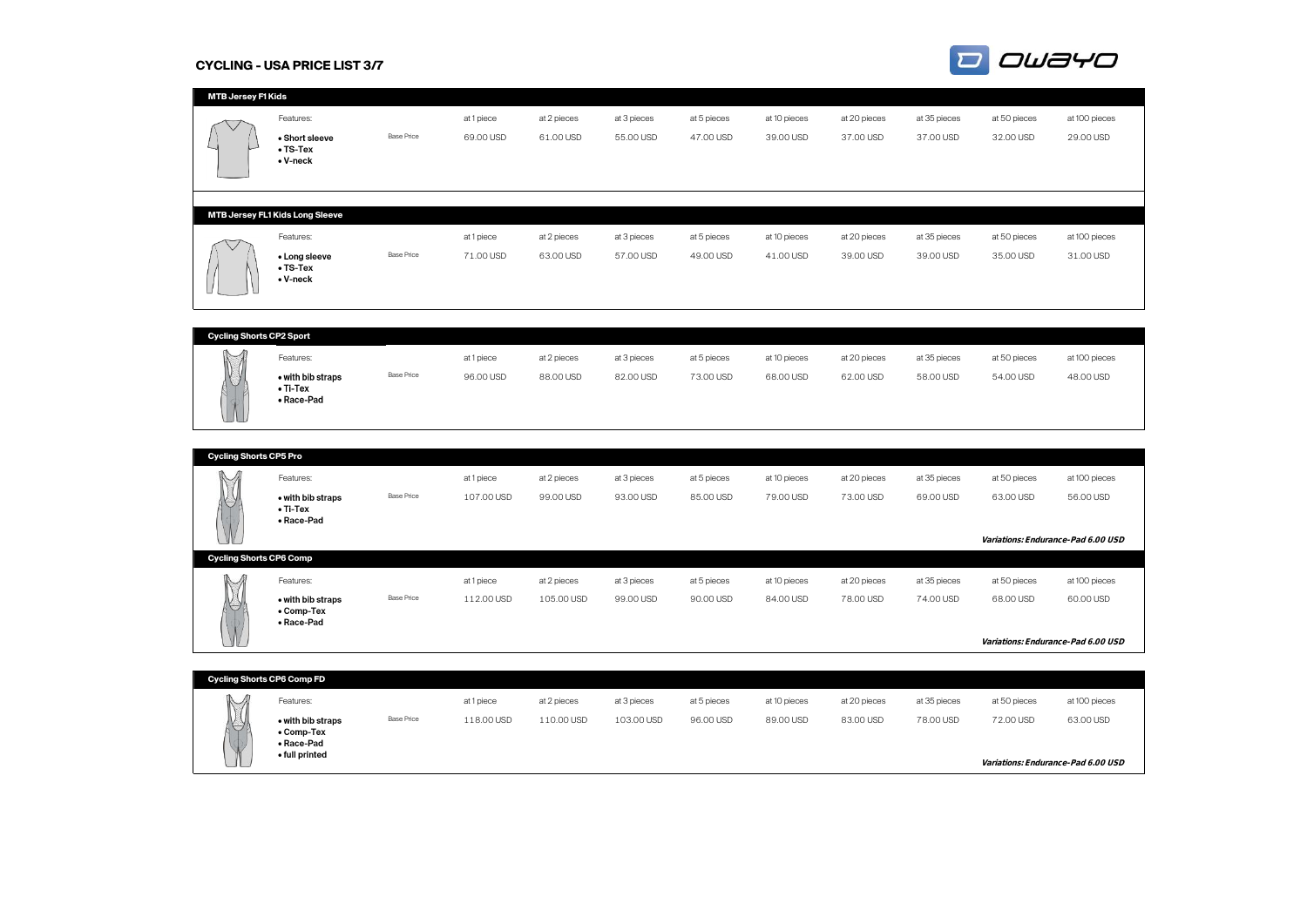#### **CYCLING - USA PRICE LIST 3/7**



| <b>MTB Jersey F1 Kids</b>         |                                 |                   |            |             |             |             |              |              |              |              |                                    |
|-----------------------------------|---------------------------------|-------------------|------------|-------------|-------------|-------------|--------------|--------------|--------------|--------------|------------------------------------|
|                                   | Features:                       |                   | at 1 piece | at 2 pieces | at 3 pieces | at 5 pieces | at 10 pieces | at 20 pieces | at 35 pieces | at 50 pieces | at 100 pieces                      |
|                                   | • Short sleeve                  | <b>Base Price</b> | 69.00 USD  | 61.00 USD   | 55.00 USD   | 47.00 USD   | 39.00 USD    | 37.00 USD    | 37.00 USD    | 32.00 USD    | 29.00 USD                          |
|                                   | $\bullet$ TS-Tex                |                   |            |             |             |             |              |              |              |              |                                    |
|                                   | • V-neck                        |                   |            |             |             |             |              |              |              |              |                                    |
|                                   |                                 |                   |            |             |             |             |              |              |              |              |                                    |
|                                   |                                 |                   |            |             |             |             |              |              |              |              |                                    |
|                                   | MTB Jersey FL1 Kids Long Sleeve |                   |            |             |             |             |              |              |              |              |                                    |
|                                   |                                 |                   |            |             |             |             |              |              |              |              |                                    |
|                                   | Features:                       |                   | at 1 piece | at 2 pieces | at 3 pieces | at 5 pieces | at 10 pieces | at 20 pieces | at 35 pieces | at 50 pieces | at 100 pieces                      |
|                                   | • Long sleeve                   | <b>Base Price</b> | 71.00 USD  | 63.00 USD   | 57.00 USD   | 49.00 USD   | 41.00 USD    | 39.00 USD    | 39.00 USD    | 35.00 USD    | 31.00 USD                          |
|                                   | $\bullet$ TS-Tex<br>• V-neck    |                   |            |             |             |             |              |              |              |              |                                    |
|                                   |                                 |                   |            |             |             |             |              |              |              |              |                                    |
|                                   |                                 |                   |            |             |             |             |              |              |              |              |                                    |
|                                   |                                 |                   |            |             |             |             |              |              |              |              |                                    |
| <b>Cycling Shorts CP2 Sport</b>   |                                 |                   |            |             |             |             |              |              |              |              |                                    |
|                                   | Features:                       |                   | at 1 piece | at 2 pieces | at 3 pieces | at 5 pieces | at 10 pieces | at 20 pieces | at 35 pieces | at 50 pieces | at 100 pieces                      |
|                                   | • with bib straps               | <b>Base Price</b> | 96.00 USD  | 88.00 USD   | 82.00 USD   | 73.00 USD   | 68.00 USD    | 62.00 USD    | 58.00 USD    | 54.00 USD    | 48.00 USD                          |
|                                   | $\bullet$ Ti-Tex                |                   |            |             |             |             |              |              |              |              |                                    |
|                                   | • Race-Pad                      |                   |            |             |             |             |              |              |              |              |                                    |
|                                   |                                 |                   |            |             |             |             |              |              |              |              |                                    |
|                                   |                                 |                   |            |             |             |             |              |              |              |              |                                    |
| <b>Cycling Shorts CP5 Pro</b>     |                                 |                   |            |             |             |             |              |              |              |              |                                    |
|                                   |                                 |                   |            |             |             |             |              |              |              |              |                                    |
|                                   | Features:                       |                   | at 1 piece | at 2 pieces | at 3 pieces | at 5 pieces | at 10 pieces | at 20 pieces | at 35 pieces | at 50 pieces | at 100 pieces                      |
|                                   | • with bib straps               | <b>Base Price</b> | 107.00 USD | 99.00 USD   | 93.00 USD   | 85.00 USD   | 79.00 USD    | 73.00 USD    | 69.00 USD    | 63.00 USD    | 56.00 USD                          |
|                                   | $\bullet$ Ti-Tex<br>• Race-Pad  |                   |            |             |             |             |              |              |              |              |                                    |
|                                   |                                 |                   |            |             |             |             |              |              |              |              | Variations: Endurance-Pad 6.00 USD |
|                                   |                                 |                   |            |             |             |             |              |              |              |              |                                    |
| <b>Cycling Shorts CP6 Comp</b>    |                                 |                   |            |             |             |             |              |              |              |              |                                    |
|                                   | Features:                       |                   | at 1 piece | at 2 pieces | at 3 pieces | at 5 pieces | at 10 pieces | at 20 pieces | at 35 pieces | at 50 pieces | at 100 pieces                      |
|                                   | • with bib straps               | <b>Base Price</b> | 112.00 USD | 105.00 USD  | 99.00 USD   | 90.00 USD   | 84.00 USD    | 78.00 USD    | 74.00 USD    | 68.00 USD    | 60.00 USD                          |
|                                   | • Comp-Tex<br>• Race-Pad        |                   |            |             |             |             |              |              |              |              |                                    |
|                                   |                                 |                   |            |             |             |             |              |              |              |              |                                    |
|                                   |                                 |                   |            |             |             |             |              |              |              |              | Variations: Endurance-Pad 6.00 USD |
|                                   |                                 |                   |            |             |             |             |              |              |              |              |                                    |
| <b>Cycling Shorts CP6 Comp FD</b> |                                 |                   |            |             |             |             |              |              |              |              |                                    |
|                                   | Features:                       |                   | at 1 piece | at 2 pieces | at 3 pieces | at 5 pieces | at 10 pieces | at 20 pieces | at 35 pieces | at 50 pieces | at 100 pieces                      |
|                                   | • with bib straps               | <b>Base Price</b> | 118.00 USD | 110.00 USD  | 103.00 USD  | 96.00 USD   | 89.00 USD    | 83.00 USD    | 78.00 USD    | 72.00 USD    | 63.00 USD                          |
|                                   | • Comp-Tex                      |                   |            |             |             |             |              |              |              |              |                                    |
|                                   | • Race-Pad                      |                   |            |             |             |             |              |              |              |              |                                    |
|                                   | • full printed                  |                   |            |             |             |             |              |              |              |              | Variations: Endurance-Pad 6.00 USD |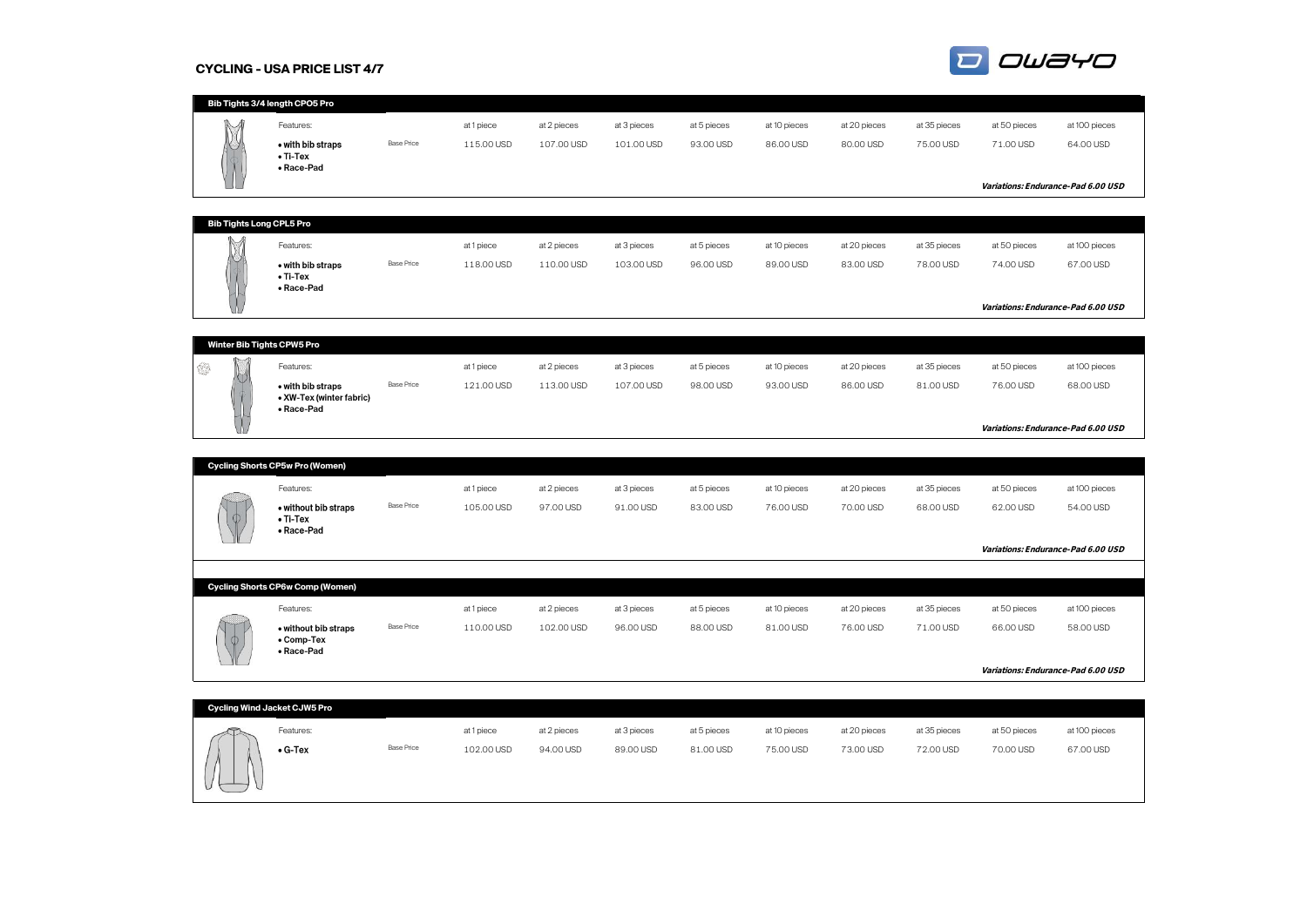#### **CYCLING - USA PRICE LIST 4/7**



|                                 | Bib Tights 3/4 length CPO5 Pro                                   |                   |                          |                           |                           |                          |                           |                           |                           |                                    |                            |
|---------------------------------|------------------------------------------------------------------|-------------------|--------------------------|---------------------------|---------------------------|--------------------------|---------------------------|---------------------------|---------------------------|------------------------------------|----------------------------|
|                                 | Features:<br>• with bib straps<br>$\bullet$ Ti-Tex<br>• Race-Pad | <b>Base Price</b> | at 1 piece<br>115.00 USD | at 2 pieces<br>107.00 USD | at 3 pieces<br>101.00 USD | at 5 pieces<br>93.00 USD | at 10 pieces<br>86.00 USD | at 20 pieces<br>80.00 USD | at 35 pieces<br>75.00 USD | at 50 pieces<br>71.00 USD          | at 100 pieces<br>64.00 USD |
|                                 |                                                                  |                   |                          |                           |                           |                          |                           |                           |                           | Variations: Endurance-Pad 6.00 USD |                            |
|                                 |                                                                  |                   |                          |                           |                           |                          |                           |                           |                           |                                    |                            |
| <b>Bib Tights Long CPL5 Pro</b> |                                                                  |                   |                          |                           |                           |                          |                           |                           |                           |                                    |                            |
|                                 | Features:                                                        |                   | at 1 piece               | at 2 pieces               | at 3 pieces               | at 5 pieces              | at 10 pieces              | at 20 pieces              | at 35 pieces              | at 50 pieces                       | at 100 pieces              |
|                                 | • with bib straps<br>$\bullet$ Ti-Tex<br>• Race-Pad              | <b>Base Price</b> | 118.00 USD               | 110.00 USD                | 103.00 USD                | 96.00 USD                | 89.00 USD                 | 83.00 USD                 | 78.00 USD                 | 74.00 USD                          | 67.00 USD                  |
|                                 |                                                                  |                   |                          |                           |                           |                          |                           |                           |                           | Variations: Endurance-Pad 6.00 USD |                            |
|                                 |                                                                  |                   |                          |                           |                           |                          |                           |                           |                           |                                    |                            |
| Winter Bib Tights CPW5 Pro      |                                                                  |                   |                          |                           |                           |                          |                           |                           |                           |                                    |                            |
| 63                              | Features:                                                        |                   | at 1 piece               | at 2 pieces               | at 3 pieces               | at 5 pieces              | at 10 pieces              | at 20 pieces              | at 35 pieces              | at 50 pieces                       | at 100 pieces              |
|                                 | • with bib straps<br>• XW-Tex (winter fabric)                    | <b>Base Price</b> | 121.00 USD               | 113.00 USD                | 107.00 USD                | 98.00 USD                | 93.00 USD                 | 86.00 USD                 | 81.00 USD                 | 76.00 USD                          | 68.00 USD                  |
|                                 | • Race-Pad                                                       |                   |                          |                           |                           |                          |                           |                           |                           | Variations: Endurance-Pad 6.00 USD |                            |
|                                 |                                                                  |                   |                          |                           |                           |                          |                           |                           |                           |                                    |                            |
|                                 | <b>Cycling Shorts CP5w Pro (Women)</b>                           |                   |                          |                           |                           |                          |                           |                           |                           |                                    |                            |
|                                 | Features:                                                        |                   | at 1 piece               | at 2 pieces               | at 3 pieces               | at 5 pieces              | at 10 pieces              | at 20 pieces              | at 35 pieces              | at 50 pieces                       | at 100 pieces              |
|                                 | . without bib straps<br>$\bullet$ Ti-Tex                         | <b>Base Price</b> | 105.00 USD               | 97.00 USD                 | 91.00 USD                 | 83.00 USD                | 76.00 USD                 | 70.00 USD                 | 68.00 USD                 | 62.00 USD                          | 54.00 USD                  |
|                                 | • Race-Pad                                                       |                   |                          |                           |                           |                          |                           |                           |                           | Variations: Endurance-Pad 6.00 USD |                            |
|                                 |                                                                  |                   |                          |                           |                           |                          |                           |                           |                           |                                    |                            |
|                                 | <b>Cycling Shorts CP6w Comp (Women)</b>                          |                   |                          |                           |                           |                          |                           |                           |                           |                                    |                            |
|                                 | Features:                                                        |                   | at 1 piece               | at 2 pieces               | at 3 pieces               | at 5 pieces              | at 10 pieces              | at 20 pieces              | at 35 pieces              | at 50 pieces                       | at 100 pieces              |
|                                 | • without bib straps<br>• Comp-Tex                               | <b>Base Price</b> | 110.00 USD               | 102.00 USD                | 96.00 USD                 | 88.00 USD                | 81.00 USD                 | 76.00 USD                 | 71.00 USD                 | 66.00 USD                          | 58.00 USD                  |
|                                 | • Race-Pad                                                       |                   |                          |                           |                           |                          |                           |                           |                           | Variations: Endurance-Pad 6.00 USD |                            |
|                                 |                                                                  |                   |                          |                           |                           |                          |                           |                           |                           |                                    |                            |
|                                 | <b>Cycling Wind Jacket CJW5 Pro</b>                              |                   |                          |                           |                           |                          |                           |                           |                           |                                    |                            |
|                                 | Features:                                                        |                   | at 1 piece               | at 2 pieces               | at 3 pieces               | at 5 pieces              | at 10 pieces              | at 20 pieces              | at 35 pieces              | at 50 pieces                       | at 100 pieces              |
|                                 | $\bullet$ G-Tex                                                  | <b>Base Price</b> | 102.00 USD               | 94.00 USD                 | 89.00 USD                 | 81.00 USD                | 75.00 USD                 | 73.00 USD                 | 72.00 USD                 | 70.00 USD                          | 67.00 USD                  |
|                                 |                                                                  |                   |                          |                           |                           |                          |                           |                           |                           |                                    |                            |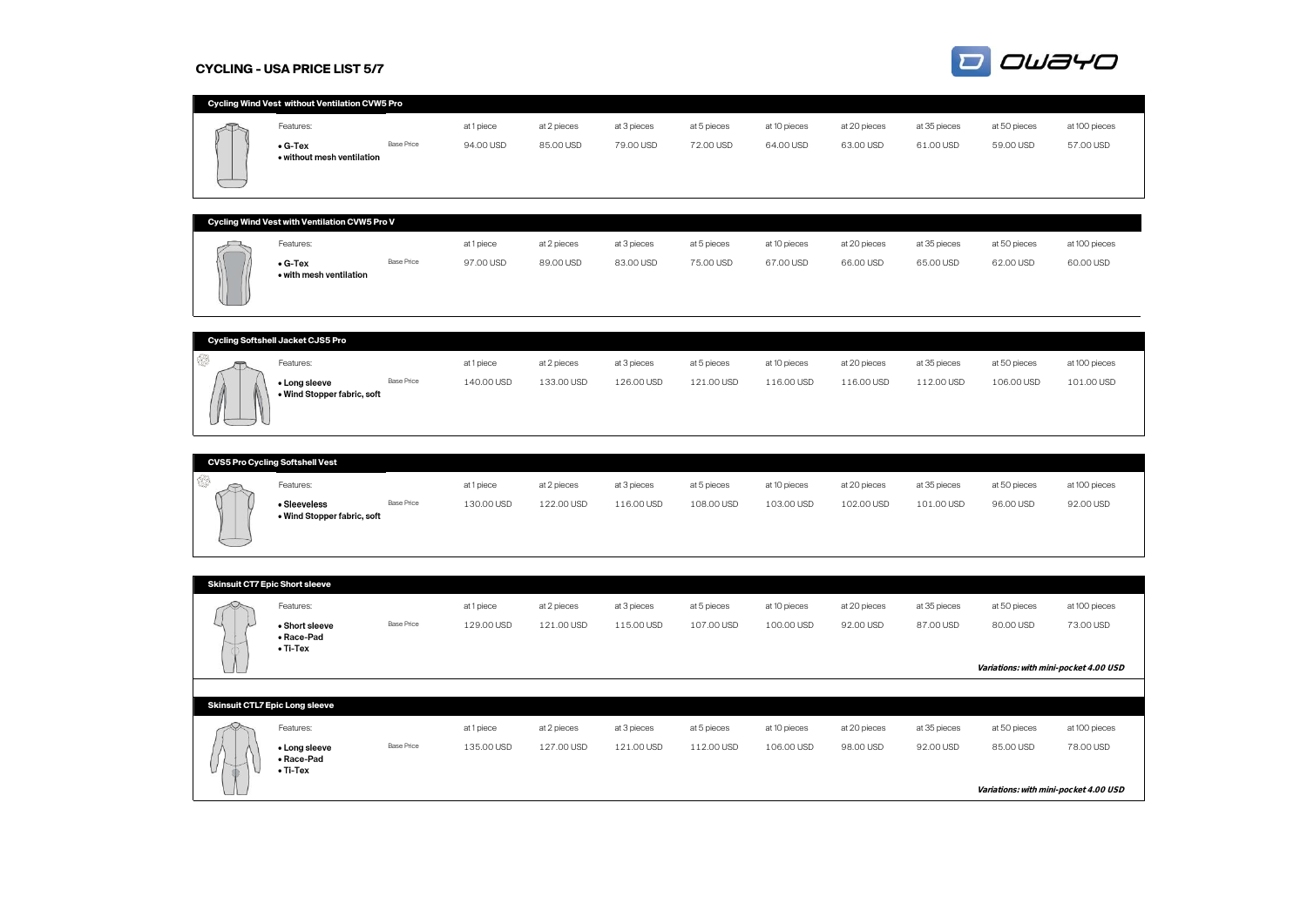#### **CYCLING - USA PRICE LIST 5/7**

• with mesh ventilation



| Cycling Wind Vest without Ventilation CVW5 Pro |                   |            |             |             |             |              |              |              |              |               |
|------------------------------------------------|-------------------|------------|-------------|-------------|-------------|--------------|--------------|--------------|--------------|---------------|
| Features:                                      |                   | at 1 piece | at 2 pieces | at 3 pieces | at 5 pieces | at 10 pieces | at 20 pieces | at 35 pieces | at 50 pieces | at 100 pieces |
| $\bullet$ G-Tex<br>• without mesh ventilation  | <b>Base Price</b> | 94.00 USD  | 85.00 USD   | 79.00 USD   | 72.00 USD   | 64.00 USD    | 63.00 USD    | 61.00 USD    | 59.00 USD    | 57.00 USD     |
|                                                |                   |            |             |             |             |              |              |              |              |               |
| Cycling Wind Vest with Ventilation CVW5 Pro V  |                   |            |             |             |             |              |              |              |              |               |
| Features:                                      |                   | at 1 piece | at 2 pieces | at 3 pieces | at 5 pieces | at 10 pieces | at 20 pieces | at 35 pieces | at 50 pieces | at 100 pieces |
| $\bullet$ G-Tex                                | <b>Base Price</b> | 97.00 USD  | 89.00 USD   | 83.00 USD   | 75.00 USD   | 67.00 USD    | 66,00 USD    | 65.00 USD    | 62.00 USD    | 60.00 USD     |

|                            | Cycling Softshell Jacket CJS5 Pro            |                   |            |             |             |             |              |              |              |              |               |  |  |  |
|----------------------------|----------------------------------------------|-------------------|------------|-------------|-------------|-------------|--------------|--------------|--------------|--------------|---------------|--|--|--|
|                            |                                              |                   |            |             |             |             |              |              |              |              |               |  |  |  |
| $\sim$                     | Features:                                    |                   | at 1 piece | at 2 pieces | at 3 pieces | at 5 pieces | at 10 pieces | at 20 pieces | at 35 pieces | at 50 pieces | at 100 pieces |  |  |  |
| $\mathbb{N}$<br>$\sqrt{2}$ | • Long sleeve<br>• Wind Stopper fabric, soft | <b>Base Price</b> | 140.00 USD | 133.00 USD  | 126.00 USD  | 121.00 USD  | 116.00 USD   | 116.00 USD   | 112.00 USD   | 106,00 USD   | 101.00 USD    |  |  |  |

| <b>CVS5 Pro Cycling Softshell Vest</b> |                                             |                   |            |             |             |             |              |              |              |              |               |  |  |
|----------------------------------------|---------------------------------------------|-------------------|------------|-------------|-------------|-------------|--------------|--------------|--------------|--------------|---------------|--|--|
| $\sim$<br>⌒                            | Features:                                   |                   | at 1 piece | at 2 pieces | at 3 pieces | at 5 pieces | at 10 pieces | at 20 pieces | at 35 pieces | at 50 pieces | at 100 pieces |  |  |
| _____                                  | • Sleeveless<br>• Wind Stopper fabric, soft | <b>Base Price</b> | 130.00 USD | 122.00 USD  | 116.00 USD  | 108.00 USD  | 103.00 USD   | 102.00 USD   | 101.00 USD   | 96.00 USD    | 92.00 USD     |  |  |

| <b>Skinsuit CT7 Epic Short sleeve</b>            |                   |            |             |             |             |              |              |              |                                                    |               |
|--------------------------------------------------|-------------------|------------|-------------|-------------|-------------|--------------|--------------|--------------|----------------------------------------------------|---------------|
| Features:                                        |                   | at 1 piece | at 2 pieces | at 3 pieces | at 5 pieces | at 10 pieces | at 20 pieces | at 35 pieces | at 50 pieces                                       | at 100 pieces |
| • Short sleeve<br>• Race-Pad<br>$\bullet$ Ti-Tex | <b>Base Price</b> | 129.00 USD | 121.00 USD  | 115.00 USD  | 107.00 USD  | 100.00 USD   | 92.00 USD    | 87.00 USD    | 80.00 USD<br>Variations: with mini-pocket 4.00 USD | 73.00 USD     |
|                                                  |                   |            |             |             |             |              |              |              |                                                    |               |
| <b>Skinsuit CTL7 Epic Long sleeve</b>            |                   |            |             |             |             |              |              |              |                                                    |               |
| Features:                                        |                   | at 1 piece | at 2 pieces | at 3 pieces | at 5 pieces | at 10 pieces | at 20 pieces | at 35 pieces | at 50 pieces                                       | at 100 pieces |
| • Long sleeve<br>• Race-Pad<br>$\bullet$ Ti-Tex  | <b>Base Price</b> | 135.00 USD | 127.00 USD  | 121.00 USD  | 112.00 USD  | 106.00 USD   | 98.00 USD    | 92.00 USD    | 85.00 USD                                          | 78.00 USD     |
|                                                  |                   |            |             |             |             |              |              |              | Variations: with mini-pocket 4.00 USD              |               |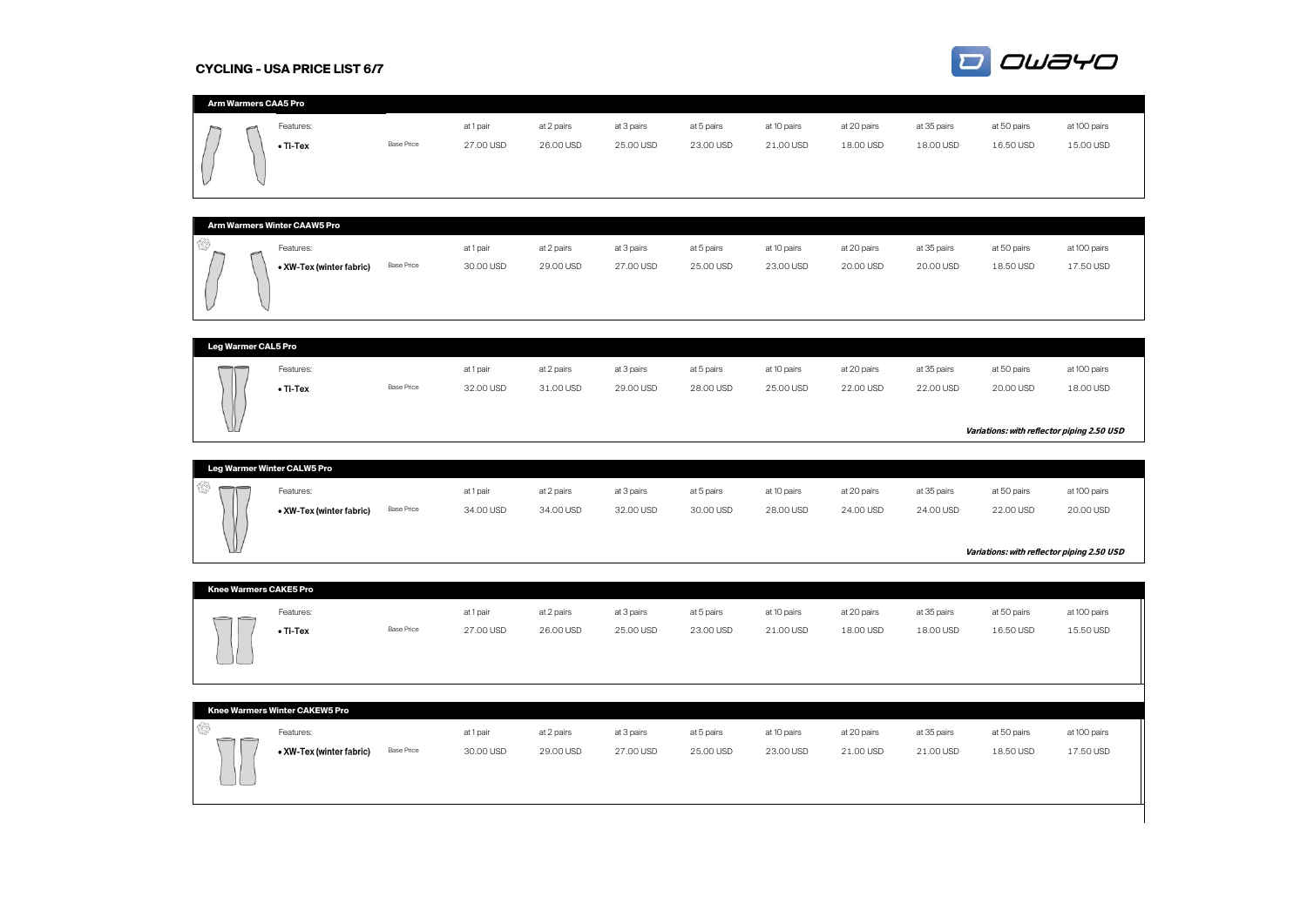# **CYCLING - USA PRICE LIST 6/7**



|  | Arm Warmers CAA5 Pro |                   |           |            |            |            |             |             |             |             |              |
|--|----------------------|-------------------|-----------|------------|------------|------------|-------------|-------------|-------------|-------------|--------------|
|  | Features:            |                   | at 1 pair | at 2 pairs | at 3 pairs | at 5 pairs | at 10 pairs | at 20 pairs | at 35 pairs | at 50 pairs | at 100 pairs |
|  | $\bullet$ Ti-Tex     | <b>Base Price</b> | 27.00 USD | 26.00 USD  | 25.00 USD  | 23.00 USD  | 21.00 USD   | 18.00 USD   | 18.00 USD   | 16.50 USD   | 15.00 USD    |

| Arm Warmers Winter CAAW5 Pro |                          |                   |           |            |            |            |             |             |             |             |              |  |  |  |
|------------------------------|--------------------------|-------------------|-----------|------------|------------|------------|-------------|-------------|-------------|-------------|--------------|--|--|--|
| €                            | Features:                |                   | at 1 pair | at 2 pairs | at 3 pairs | at 5 pairs | at 10 pairs | at 20 pairs | at 35 pairs | at 50 pairs | at 100 pairs |  |  |  |
|                              | • XW-Tex (winter fabric) | <b>Base Price</b> | 30.00 USD | 29.00 USD  | 27.00 USD  | 25.00 USD  | 23.00 USD   | 20.00 USD   | 20.00 USD   | 18.50 USD   | 17.50 USD    |  |  |  |
|                              |                          |                   |           |            |            |            |             |             |             |             |              |  |  |  |
|                              |                          |                   |           |            |            |            |             |             |             |             |              |  |  |  |

| <b>Leg Warmer CAL5 Pro</b> |                  |                   |           |            |            |            |             |             |             |             |                                                         |
|----------------------------|------------------|-------------------|-----------|------------|------------|------------|-------------|-------------|-------------|-------------|---------------------------------------------------------|
| $\overline{\phantom{m}}$   | Features:        |                   | at 1 pair | at 2 pairs | at 3 pairs | at 5 pairs | at 10 pairs | at 20 pairs | at 35 pairs | at 50 pairs | at 100 pairs                                            |
| $\left( \right)$<br>JU     | $\bullet$ Ti-Tex | <b>Base Price</b> | 32.00 USD | 31.00 USD  | 29.00 USD  | 28.00 USD  | 25.00 USD   | 22.00 USD   | 22.00 USD   | 20.00 USD   | 18.00 USD<br>Variations: with reflector piping 2.50 USD |

|               | Leg Warmer Winter CALW5 Pro |                   |           |            |            |            |             |             |             |                                            |              |  |  |  |
|---------------|-----------------------------|-------------------|-----------|------------|------------|------------|-------------|-------------|-------------|--------------------------------------------|--------------|--|--|--|
| $\overline{}$ | Features:                   |                   | at 1 pair | at 2 pairs | at 3 pairs | at 5 pairs | at 10 pairs | at 20 pairs | at 35 pairs | at 50 pairs                                | at 100 pairs |  |  |  |
| $\mathbb{I}$  | • XW-Tex (winter fabric)    | <b>Base Price</b> | 34.00 USD | 34.00 USD  | 32.00 USD  | 30.00 USD  | 28.00 USD   | 24.00 USD   | 24.00 USD   | 22.00 USD                                  | 20.00 USD    |  |  |  |
|               |                             |                   |           |            |            |            |             |             |             |                                            |              |  |  |  |
| V             |                             |                   |           |            |            |            |             |             |             | Variations: with reflector piping 2.50 USD |              |  |  |  |

| <b>Knee Warmers CAKE5 Pro</b> |                  |                   |           |            |            |            |             |             |             |             |              |
|-------------------------------|------------------|-------------------|-----------|------------|------------|------------|-------------|-------------|-------------|-------------|--------------|
| —<br>$\sim$                   | Features:        |                   | at 1 pair | at 2 pairs | at 3 pairs | at 5 pairs | at 10 pairs | at 20 pairs | at 35 pairs | at 50 pairs | at 100 pairs |
| └                             | $\bullet$ Ti-Tex | <b>Base Price</b> | 27.00 USD | 26.00 USD  | 25.00 USD  | 23.00 USD  | 21.00 USD   | 18.00 USD   | 18.00 USD   | 16.50 USD   | 15.50 USD    |

| Knee Warmers Winter CAKEW5 Pro       |                          |                   |           |            |            |            |             |             |             |             |              |
|--------------------------------------|--------------------------|-------------------|-----------|------------|------------|------------|-------------|-------------|-------------|-------------|--------------|
| $\overline{\phantom{0}}$<br>$\equiv$ | Features:                |                   | at 1 pair | at 2 pairs | at 3 pairs | at 5 pairs | at 10 pairs | at 20 pairs | at 35 pairs | at 50 pairs | at 100 pairs |
|                                      | • XW-Tex (winter fabric) | <b>Base Price</b> | 30.00 USD | 29.00 USD  | 27.00 USD  | 25.00 USD  | 23.00 USD   | 21.00 USD   | 21.00 USD   | 18.50 USD   | 17.50 USD    |